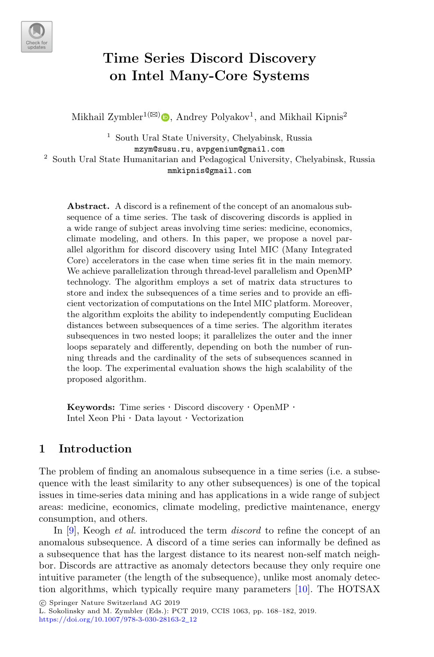

# **Time Series Discord Discovery on Intel Many-Core Systems**

Mikhail Zymbler<sup>1( $\boxtimes$ )</sup>  $\bullet$ [,](http://orcid.org/0000-0001-7491-8656) Andrey Polyakov<sup>1</sup>, and Mikhail Kipnis<sup>2</sup>

<sup>1</sup> South Ural State University, Chelyabinsk, Russia

mzym@susu.ru, avpgenium@gmail.com 2 South Ural State Humanitarian and Pedagogical University, Chelyabinsk, Russia mmkipnis@gmail.com mmkipnis@gmail.com

**Abstract.** A discord is a refinement of the concept of an anomalous subsequence of a time series. The task of discovering discords is applied in a wide range of subject areas involving time series: medicine, economics, climate modeling, and others. In this paper, we propose a novel parallel algorithm for discord discovery using Intel MIC (Many Integrated Core) accelerators in the case when time series fit in the main memory. We achieve parallelization through thread-level parallelism and OpenMP technology. The algorithm employs a set of matrix data structures to store and index the subsequences of a time series and to provide an efficient vectorization of computations on the Intel MIC platform. Moreover, the algorithm exploits the ability to independently computing Euclidean distances between subsequences of a time series. The algorithm iterates subsequences in two nested loops; it parallelizes the outer and the inner loops separately and differently, depending on both the number of running threads and the cardinality of the sets of subsequences scanned in the loop. The experimental evaluation shows the high scalability of the proposed algorithm.

**Keywords:** Time series  $\cdot$  Discord discovery  $\cdot$  OpenMP  $\cdot$  Intel Xeon Phi  $\cdot$  Data layout  $\cdot$  Vectorization

## **1 Introduction**

The problem of finding an anomalous subsequence in a time series (i.e. a subsequence with the least similarity to any other subsequences) is one of the topical issues in time-series data mining and has applications in a wide range of subject areas: medicine, economics, climate modeling, predictive maintenance, energy consumption, and others.

In [\[9\]](#page-12-0), Keogh *et al.* introduced the term *discord* to refine the concept of an anomalous subsequence. A discord of a time series can informally be defined as a subsequence that has the largest distance to its nearest non-self match neighbor. Discords are attractive as anomaly detectors because they only require one intuitive parameter (the length of the subsequence), unlike most anomaly detection algorithms, which typically require many parameters [\[10](#page-12-1)]. The HOTSAX

-c Springer Nature Switzerland AG 2019

L. Sokolinsky and M. Zymbler (Eds.): PCT 2019, CCIS 1063, pp. 168–182, 2019. [https://doi.org/10.1007/978-3-030-28163-2](https://doi.org/10.1007/978-3-030-28163-2_12)\_12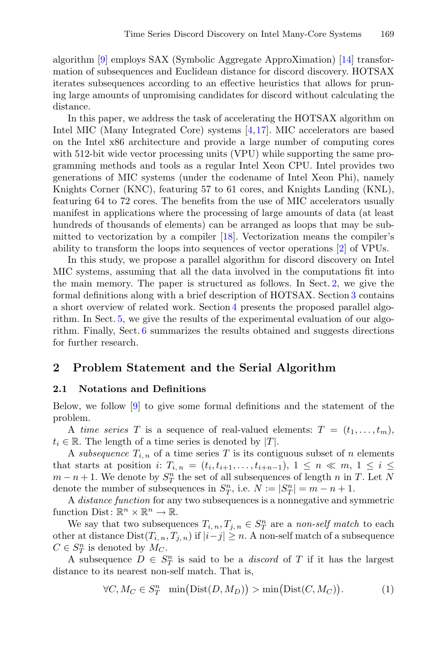algorithm [\[9\]](#page-12-0) employs SAX (Symbolic Aggregate ApproXimation) [\[14\]](#page-13-0) transformation of subsequences and Euclidean distance for discord discovery. HOTSAX iterates subsequences according to an effective heuristics that allows for pruning large amounts of unpromising candidates for discord without calculating the distance.

In this paper, we address the task of accelerating the HOTSAX algorithm on Intel MIC (Many Integrated Core) systems [\[4,](#page-12-2)[17\]](#page-13-1). MIC accelerators are based on the Intel x86 architecture and provide a large number of computing cores with 512-bit wide vector processing units (VPU) while supporting the same programming methods and tools as a regular Intel Xeon CPU. Intel provides two generations of MIC systems (under the codename of Intel Xeon Phi), namely Knights Corner (KNC), featuring 57 to 61 cores, and Knights Landing (KNL), featuring 64 to 72 cores. The benefits from the use of MIC accelerators usually manifest in applications where the processing of large amounts of data (at least hundreds of thousands of elements) can be arranged as loops that may be submitted to vectorization by a compiler [\[18\]](#page-13-2). Vectorization means the compiler's ability to transform the loops into sequences of vector operations [\[2](#page-12-3)] of VPUs.

In this study, we propose a parallel algorithm for discord discovery on Intel MIC systems, assuming that all the data involved in the computations fit into the main memory. The paper is structured as follows. In Sect. [2,](#page-1-0) we give the formal definitions along with a brief description of HOTSAX. Section [3](#page-4-0) contains a short overview of related work. Section [4](#page-5-0) presents the proposed parallel algorithm. In Sect. [5,](#page-8-0) we give the results of the experimental evaluation of our algorithm. Finally, Sect. [6](#page-11-0) summarizes the results obtained and suggests directions for further research.

## <span id="page-1-0"></span>**2 Problem Statement and the Serial Algorithm**

#### **2.1 Notations and Definitions**

Below, we follow  $[9]$  to give some formal definitions and the statement of the problem.

A *time series* T is a sequence of real-valued elements:  $T = (t_1, \ldots, t_m)$ ,  $t_i \in \mathbb{R}$ . The length of a time series is denoted by |T|.

A *subsequence*  $T_{i,n}$  of a time series T is its contiguous subset of n elements that starts at position i:  $T_{i,n} = (t_i, t_{i+1}, \ldots, t_{i+n-1}), 1 \leq n \ll m, 1 \leq i \leq n$  $m-n+1$ . We denote by  $S_T^n$  the set of all subsequences of length n in T. Let N denote the number of subsequences in  $S_T^n$ , i.e.  $N := |S_T^n| = m - n + 1$ .

A *distance function* for any two subsequences is a nonnegative and symmetric function Dist:  $\mathbb{R}^n \times \mathbb{R}^n \to \mathbb{R}$ .

We say that two subsequences  $T_{i,n}, T_{j,n} \in S_T^n$  are a *non-self match* to each other at distance  $Dist(T_{i,n}, T_{j,n})$  if  $|i-j| \geq n$ . A non-self match of a subsequence  $C \in S_T^n$  is denoted by  $M_C$ .

A subsequence  $D \in S_T^n$  is said to be a *discord* of T if it has the largest distance to its nearest non-self match. That is,

$$
\forall C, M_C \in S_T^n \quad \min\big(\text{Dist}(D, M_D)\big) > \min\big(\text{Dist}(C, M_C)\big). \tag{1}
$$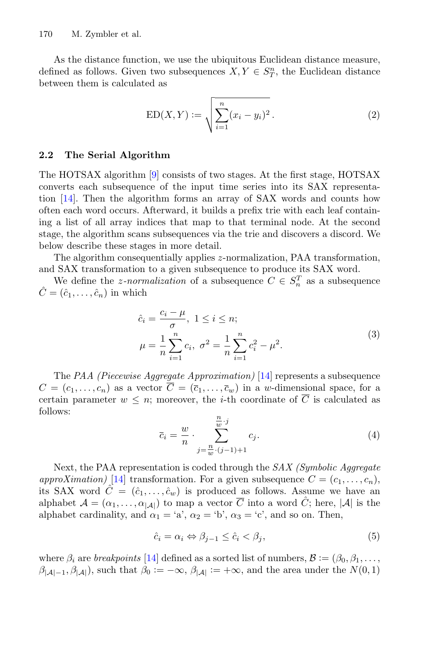As the distance function, we use the ubiquitous Euclidean distance measure, defined as follows. Given two subsequences  $X, Y \in S_T^n$ , the Euclidean distance between them is calculated as

<span id="page-2-0"></span>ED(X, Y) := 
$$
\sqrt{\sum_{i=1}^{n} (x_i - y_i)^2}
$$
 (2)

#### **2.2 The Serial Algorithm**

The HOTSAX algorithm [\[9\]](#page-12-0) consists of two stages. At the first stage, HOTSAX converts each subsequence of the input time series into its SAX representation [\[14\]](#page-13-0). Then the algorithm forms an array of SAX words and counts how often each word occurs. Afterward, it builds a prefix trie with each leaf containing a list of all array indices that map to that terminal node. At the second stage, the algorithm scans subsequences via the trie and discovers a discord. We below describe these stages in more detail.

The algorithm consequentially applies z-normalization, PAA transformation, and SAX transformation to a given subsequence to produce its SAX word.

We define the *z*-normalization of a subsequence  $C \in S_n^T$  as a subsequence  $\hat{C} = (\hat{c}_1, \ldots, \hat{c}_n)$  in which

<span id="page-2-1"></span>
$$
\hat{c}_i = \frac{c_i - \mu}{\sigma}, \ 1 \le i \le n; \n\mu = \frac{1}{n} \sum_{i=1}^n c_i, \ \sigma^2 = \frac{1}{n} \sum_{i=1}^n c_i^2 - \mu^2.
$$
\n(3)

The *PAA (Piecewise Aggregate Approximation)* [\[14](#page-13-0)] represents a subsequence  $C = (c_1, \ldots, c_n)$  as a vector  $\overline{C} = (\overline{c_1}, \ldots, \overline{c}_w)$  in a w-dimensional space, for a certain parameter  $w \leq n$ ; moreover, the *i*-th coordinate of  $\overline{C}$  is calculated as follows: *n*

<span id="page-2-2"></span>
$$
\overline{c}_i = \frac{w}{n} \cdot \sum_{j=\frac{n}{w} \cdot (j-1)+1}^{\frac{n}{w} \cdot j} c_j.
$$
\n
$$
(4)
$$

Next, the PAA representation is coded through the *SAX (Symbolic Aggregate approXimation*) [\[14](#page-13-0)] transformation. For a given subsequence  $C = (c_1, \ldots, c_n)$ , its SAX word  $\hat{C} = (\hat{c}_1, \ldots, \hat{c}_w)$  is produced as follows. Assume we have an alphabet  $\mathcal{A} = (\alpha_1, \ldots, \alpha_{|\mathcal{A}|})$  to map a vector  $\overline{C}$  into a word  $\hat{C}$ ; here,  $|\mathcal{A}|$  is the alphabet cardinality, and  $\alpha_1 = \alpha'$ ,  $\alpha_2 = \beta'$ ,  $\alpha_3 = \alpha'$ , and so on. Then,

<span id="page-2-3"></span>
$$
\hat{c}_i = \alpha_i \Leftrightarrow \beta_{j-1} \le \hat{c}_i < \beta_j,\tag{5}
$$

where  $\beta_i$  are *breakpoints* [\[14](#page-13-0)] defined as a sorted list of numbers,  $\mathcal{B} := (\beta_0, \beta_1, \dots, \beta_n)$  $\beta_{|\mathcal{A}|-1}, \beta_{|\mathcal{A}|}$ , such that  $\beta_0 := -\infty$ ,  $\beta_{|\mathcal{A}|} := +\infty$ , and the area under the  $N(0, 1)$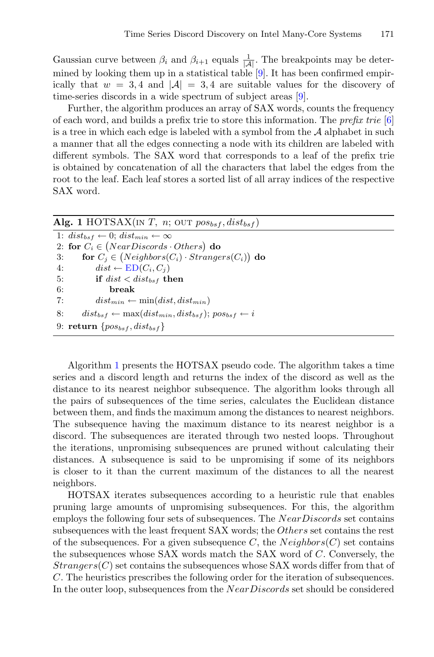Gaussian curve between  $\beta_i$  and  $\beta_{i+1}$  equals  $\frac{1}{|A|}$ . The breakpoints may be determined by looking them up in a statistical table [\[9](#page-12-0)]. It has been confirmed empirically that  $w = 3.4$  and  $|\mathcal{A}| = 3.4$  are suitable values for the discovery of time-series discords in a wide spectrum of subject areas [\[9](#page-12-0)].

Further, the algorithm produces an array of SAX words, counts the frequency of each word, and builds a prefix trie to store this information. The *prefix trie* [\[6\]](#page-12-4) is a tree in which each edge is labeled with a symbol from the  $A$  alphabet in such a manner that all the edges connecting a node with its children are labeled with different symbols. The SAX word that corresponds to a leaf of the prefix trie is obtained by concatenation of all the characters that label the edges from the root to the leaf. Each leaf stores a sorted list of all array indices of the respective SAX word.

<span id="page-3-0"></span>

| Alg. 1 HOTSAX(IN T, n; OUT $pos_{bsf}, dist_{bsf}$ )                               |  |  |  |  |
|------------------------------------------------------------------------------------|--|--|--|--|
| 1: $dist_{bsf} \leftarrow 0$ ; $dist_{min} \leftarrow \infty$                      |  |  |  |  |
| 2: for $C_i \in (NearDiscords \cdot Others)$ do                                    |  |  |  |  |
| for $C_j \in (Neighbors(C_i) \cdot Strangers(C_i))$ do<br>3:                       |  |  |  |  |
| $dist \leftarrow ED(C_i, C_i)$<br>4:                                               |  |  |  |  |
| if $dist < dist_{bsf}$ then<br>5:                                                  |  |  |  |  |
| break<br>6:                                                                        |  |  |  |  |
| 7:<br>$dist_{min} \leftarrow min(dist, dist_{min})$                                |  |  |  |  |
| 8:<br>$dist_{bsf} \leftarrow \max(dist_{min}, dist_{bsf}); pos_{bsf} \leftarrow i$ |  |  |  |  |
| 9: return $\{pos_{bsf}, dist_{bsf}\}\$                                             |  |  |  |  |

Algorithm [1](#page-3-0) presents the HOTSAX pseudo code. The algorithm takes a time series and a discord length and returns the index of the discord as well as the distance to its nearest neighbor subsequence. The algorithm looks through all the pairs of subsequences of the time series, calculates the Euclidean distance between them, and finds the maximum among the distances to nearest neighbors. The subsequence having the maximum distance to its nearest neighbor is a discord. The subsequences are iterated through two nested loops. Throughout the iterations, unpromising subsequences are pruned without calculating their distances. A subsequence is said to be unpromising if some of its neighbors is closer to it than the current maximum of the distances to all the nearest neighbors.

HOTSAX iterates subsequences according to a heuristic rule that enables pruning large amounts of unpromising subsequences. For this, the algorithm employs the following four sets of subsequences. The NearDiscords set contains subsequences with the least frequent SAX words; the Others set contains the rest of the subsequences. For a given subsequence C, the  $Neighbors(C)$  set contains the subsequences whose SAX words match the SAX word of C. Conversely, the  $Strangers(C)$  set contains the subsequences whose SAX words differ from that of C. The heuristics prescribes the following order for the iteration of subsequences. In the outer loop, subsequences from the NearDiscords set should be considered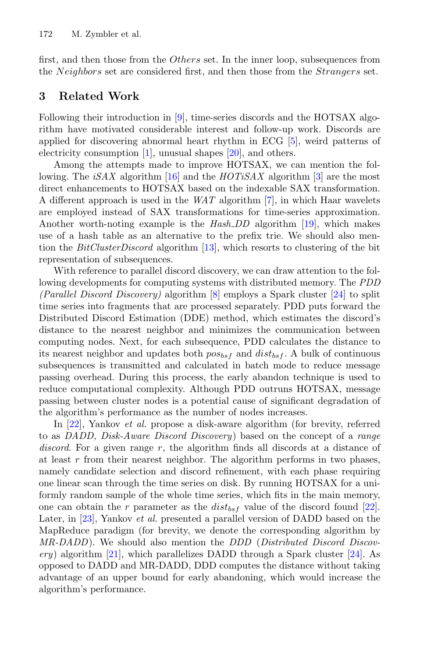first, and then those from the *Others* set. In the inner loop, subsequences from the Neighbors set are considered first, and then those from the Strangers set.

## <span id="page-4-0"></span>**3 Related Work**

Following their introduction in [\[9\]](#page-12-0), time-series discords and the HOTSAX algorithm have motivated considerable interest and follow-up work. Discords are applied for discovering abnormal heart rhythm in ECG [\[5](#page-12-5)], weird patterns of electricity consumption [\[1\]](#page-12-6), unusual shapes [\[20](#page-13-3)], and others.

Among the attempts made to improve HOTSAX, we can mention the following. The *iSAX* algorithm [\[16\]](#page-13-4) and the *HOTiSAX* algorithm [\[3\]](#page-12-7) are the most direct enhancements to HOTSAX based on the indexable SAX transformation. A different approach is used in the *WAT* algorithm [\[7](#page-12-8)], in which Haar wavelets are employed instead of SAX transformations for time-series approximation. Another worth-noting example is the *Hash DD* algorithm [\[19](#page-13-5)], which makes use of a hash table as an alternative to the prefix trie. We should also mention the *BitClusterDiscord* algorithm [\[13\]](#page-13-6), which resorts to clustering of the bit representation of subsequences.

With reference to parallel discord discovery, we can draw attention to the following developments for computing systems with distributed memory. The *PDD (Parallel Discord Discovery)* algorithm [\[8](#page-12-9)] employs a Spark cluster [\[24\]](#page-14-0) to split time series into fragments that are processed separately. PDD puts forward the Distributed Discord Estimation (DDE) method, which estimates the discord's distance to the nearest neighbor and minimizes the communication between computing nodes. Next, for each subsequence, PDD calculates the distance to its nearest neighbor and updates both pos*bsf* and dist*bsf* . A bulk of continuous subsequences is transmitted and calculated in batch mode to reduce message passing overhead. During this process, the early abandon technique is used to reduce computational complexity. Although PDD outruns HOTSAX, message passing between cluster nodes is a potential cause of significant degradation of the algorithm's performance as the number of nodes increases.

In [\[22](#page-14-1)], Yankov *et al.* propose a disk-aware algorithm (for brevity, referred to as *DADD, Disk-Aware Discord Discovery*) based on the concept of a *range* discord. For a given range r, the algorithm finds all discords at a distance of at least  $r$  from their nearest neighbor. The algorithm performs in two phases, namely candidate selection and discord refinement, with each phase requiring one linear scan through the time series on disk. By running HOTSAX for a uniformly random sample of the whole time series, which fits in the main memory, one can obtain the r parameter as the  $dist_{bsf}$  value of the discord found  $[22]$ . Later, in [\[23](#page-14-2)], Yankov *et al.* presented a parallel version of DADD based on the MapReduce paradigm (for brevity, we denote the corresponding algorithm by *MR-DADD*). We should also mention the *DDD* (*Distributed Discord Discovery*) algorithm [\[21](#page-13-7)], which parallelizes DADD through a Spark cluster [\[24\]](#page-14-0). As opposed to DADD and MR-DADD, DDD computes the distance without taking advantage of an upper bound for early abandoning, which would increase the algorithm's performance.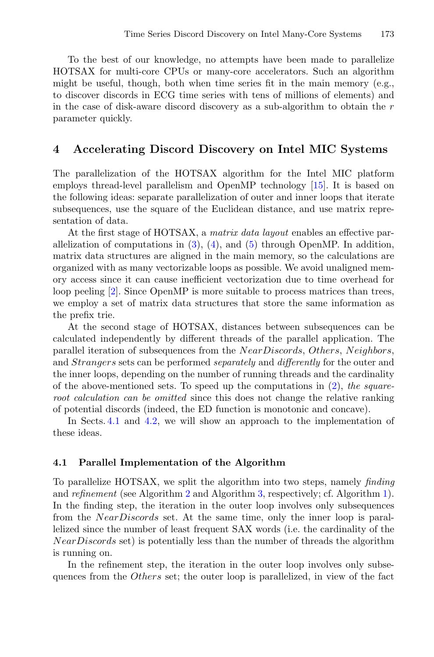To the best of our knowledge, no attempts have been made to parallelize HOTSAX for multi-core CPUs or many-core accelerators. Such an algorithm might be useful, though, both when time series fit in the main memory  $(e.g.,)$ to discover discords in ECG time series with tens of millions of elements) and in the case of disk-aware discord discovery as a sub-algorithm to obtain the r parameter quickly.

### <span id="page-5-0"></span>**4 Accelerating Discord Discovery on Intel MIC Systems**

The parallelization of the HOTSAX algorithm for the Intel MIC platform employs thread-level parallelism and OpenMP technology [\[15](#page-13-8)]. It is based on the following ideas: separate parallelization of outer and inner loops that iterate subsequences, use the square of the Euclidean distance, and use matrix representation of data.

At the first stage of HOTSAX, a *matrix data layout* enables an effective parallelization of computations in [\(3\)](#page-2-1), [\(4\)](#page-2-2), and [\(5\)](#page-2-3) through OpenMP. In addition, matrix data structures are aligned in the main memory, so the calculations are organized with as many vectorizable loops as possible. We avoid unaligned memory access since it can cause inefficient vectorization due to time overhead for loop peeling [\[2](#page-12-3)]. Since OpenMP is more suitable to process matrices than trees, we employ a set of matrix data structures that store the same information as the prefix trie.

At the second stage of HOTSAX, distances between subsequences can be calculated independently by different threads of the parallel application. The parallel iteration of subsequences from the NearDiscords, Others, Neighbors, and Strangers sets can be performed *separately* and *differently* for the outer and the inner loops, depending on the number of running threads and the cardinality of the above-mentioned sets. To speed up the computations in [\(2\)](#page-2-0), *the squareroot calculation can be omitted* since this does not change the relative ranking of potential discords (indeed, the ED function is monotonic and concave).

In Sects. [4.1](#page-5-1) and [4.2,](#page-6-0) we will show an approach to the implementation of these ideas.

#### <span id="page-5-1"></span>**4.1 Parallel Implementation of the Algorithm**

To parallelize HOTSAX, we split the algorithm into two steps, namely *finding* and *refinement* (see Algorithm [2](#page-6-1) and Algorithm [3,](#page-6-2) respectively; cf. Algorithm [1\)](#page-3-0). In the finding step, the iteration in the outer loop involves only subsequences from the NearDiscords set. At the same time, only the inner loop is parallelized since the number of least frequent SAX words (i.e. the cardinality of the NearDiscords set) is potentially less than the number of threads the algorithm is running on.

In the refinement step, the iteration in the outer loop involves only subsequences from the Others set; the outer loop is parallelized, in view of the fact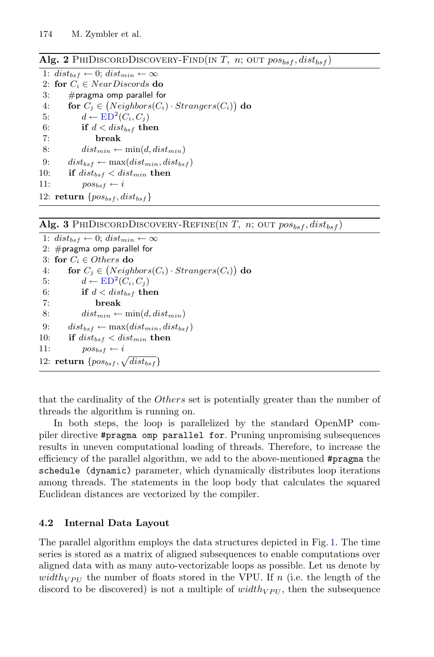Alg. 2 PHIDISCORDDISCOVERY-FIND(IN T, n; OUT  $pos_{bsf}, dist_{bsf}$ )

```
1: dist_{bsf} \leftarrow 0; dist_{min} \leftarrow \infty2: for C_i \in NearDiscords do<br>3: #pragma omp parallel fo
 3: # pragma omp parallel for<br>4: for C_i \in (Neighbors(C_i))4: for C_j \in (Neighbors(C_i) \cdot Strangers(C_i)) do
 5: ED}^2(C_i, C_j)<br>6: if d < distuss the
                 if d < dist_{bsf} then
 7: break
 8: dist_{min} \leftarrow \min(d, dist_{min})<br>9: dist_{best} \leftarrow \max(dist_{min}, dist_{bs})9: dist_{bsf} \leftarrow \max(dist_{min}, dist_{bsf})<br>10: if dist_{bsf} < dist_{min} then
            if dist_{bsf} < dist_{min} then
11: pos_{bsf} \leftarrow i12: return \{pos_{bsf}, dist_{bsf}\}
```
<span id="page-6-1"></span>Alg. 3 PHIDISCORDDISCOVERY-REFINE(IN T, n; OUT  $pos_{bsf}$ ,  $dist_{bsf}$ )

```
1: dist_{bsf} \leftarrow 0; dist_{min} \leftarrow \infty2: #pragma omp parallel for
 3: for C_i \in Others do<br>4: for C_j \in (Neigh)4: for C_j \in (Neighbors(C_i) \cdot Strangers(C_i)) do
 5: ED}^2(C_i, C_j)<br>6: if d < dist_{bsf} the
              if d < dist_{bsf} then
 7: break
 8: dist_{min} \leftarrow min(d, dist_{min})9: dist_{bsf} \leftarrow \max(dist_{min}, dist_{bsf})<br>10: if dist_{bsf} < dist_{min} then
          if dist_{bsf} < dist_{min} then
11: pos_{bsf} \leftarrow i12: return \{pos_{bsf}, \sqrt{dist_{bsf}}\}
```
<span id="page-6-2"></span>that the cardinality of the *Others* set is potentially greater than the number of threads the algorithm is running on.

In both steps, the loop is parallelized by the standard OpenMP compiler directive #pragma omp parallel for. Pruning unpromising subsequences results in uneven computational loading of threads. Therefore, to increase the efficiency of the parallel algorithm, we add to the above-mentioned #pragma the schedule (dynamic) parameter, which dynamically distributes loop iterations among threads. The statements in the loop body that calculates the squared Euclidean distances are vectorized by the compiler.

#### <span id="page-6-0"></span>**4.2 Internal Data Layout**

The parallel algorithm employs the data structures depicted in Fig. [1.](#page-7-0) The time series is stored as a matrix of aligned subsequences to enable computations over aligned data with as many auto-vectorizable loops as possible. Let us denote by  $width_{VPU}$  the number of floats stored in the VPU. If n (i.e. the length of the discord to be discovered) is not a multiple of  $width_{VPU}$ , then the subsequence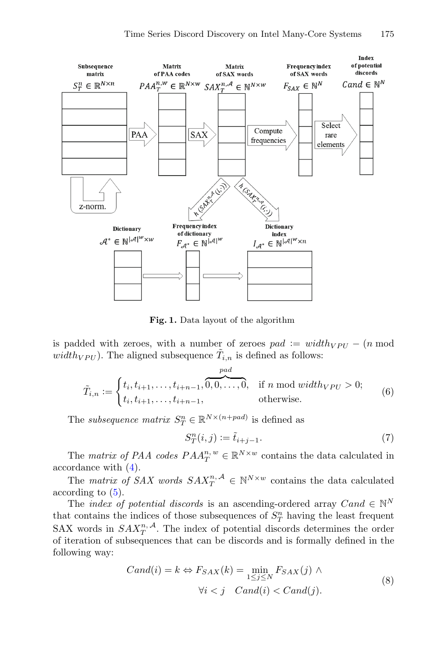

<span id="page-7-0"></span>**Fig. 1.** Data layout of the algorithm

is padded with zeroes, with a number of zeroes pad :=  $width_{VPI} - (n \text{ mod } 1)$  $width_{VPU}$ ). The aligned subsequence  $\tilde{T}_{i,n}$  is defined as follows:

$$
\tilde{T}_{i,n} := \begin{cases} t_i, t_{i+1}, \dots, t_{i+n-1}, \overbrace{0,0,\dots,0}^{pad}, & \text{if } n \text{ mod } width_{VPU} > 0; \\ t_i, t_{i+1}, \dots, t_{i+n-1}, & \text{otherwise.} \end{cases} (6)
$$

The *subsequence matrix*  $S_T^n \in \mathbb{R}^{N \times (n + pad)}$  is defined as

$$
S_T^n(i,j) := \tilde{t}_{i+j-1}.\tag{7}
$$

The *matrix of PAA codes*  $PAA_T^{n,w} \in \mathbb{R}^{N \times w}$  contains the data calculated in accordance with [\(4\)](#page-2-2).

The *matrix of SAX words*  $S A X_T^{n, A} \in \mathbb{N}^{N \times w}$  contains the data calculated according to [\(5\)](#page-2-3).

The *index of potential discords* is an ascending-ordered array  $Cand \in \mathbb{N}^N$ that contains the indices of those subsequences of  $S_T^n$  having the least frequent SAX words in  $SAX_T^{n,\mathcal{A}}$ . The index of potential discords determines the order of iteration of subsequences that can be discords and is formally defined in the following way:

<span id="page-7-1"></span>
$$
Cand(i) = k \Leftrightarrow F_{SAX}(k) = \min_{1 \le j \le N} F_{SAX}(j) \wedge
$$
  

$$
\forall i < j \quad Cand(i) < Cand(j).
$$

$$
(8)
$$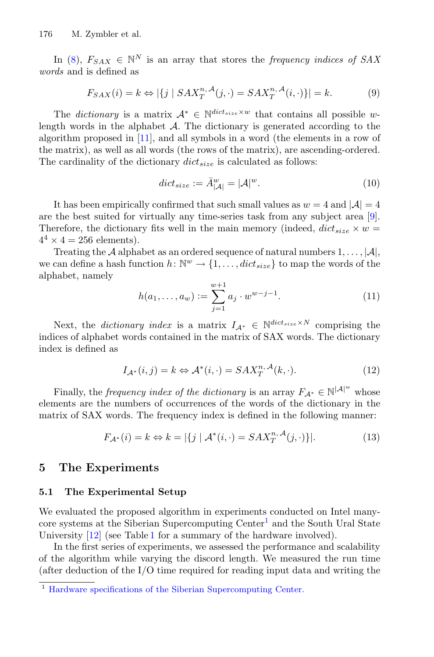In [\(8\)](#page-7-1),  $F_{SAX} \in \mathbb{N}^N$  is an array that stores the *frequency indices of SAX words* and is defined as

$$
F_{SAX}(i) = k \Leftrightarrow |\{j \mid SAX_T^{n, \mathcal{A}}(j, \cdot) = SAX_T^{n, \mathcal{A}}(i, \cdot)\}| = k. \tag{9}
$$

The *dictionary* is a matrix  $A^* \in \mathbb{N}^{dict_{size}\times w}$  that contains all possible wlength words in the alphabet  $A$ . The dictionary is generated according to the algorithm proposed in [\[11\]](#page-13-9), and all symbols in a word (the elements in a row of the matrix), as well as all words (the rows of the matrix), are ascending-ordered. The cardinality of the dictionary dict*size* is calculated as follows:

$$
dict_{size} := \bar{A}_{|\mathcal{A}|}^{w} = |\mathcal{A}|^{w}.
$$
 (10)

It has been empirically confirmed that such small values as  $w = 4$  and  $|\mathcal{A}| = 4$ are the best suited for virtually any time-series task from any subject area [\[9\]](#page-12-0). Therefore, the dictionary fits well in the main memory (indeed,  $dict_{size} \times w =$  $4^4 \times 4 = 256$  elements).

Treating the A alphabet as an ordered sequence of natural numbers  $1, \ldots, |\mathcal{A}|$ , we can define a hash function  $h: \mathbb{N}^w \to \{1, \ldots, dict_{size}\}\)$  to map the words of the alphabet, namely

$$
h(a_1, \dots, a_w) := \sum_{j=1}^{w+1} a_j \cdot w^{w-j-1}.
$$
 (11)

Next, the *dictionary index* is a matrix  $I_{\mathcal{A}^*} \in \mathbb{N}^{dict_{size} \times N}$  comprising the indices of alphabet words contained in the matrix of SAX words. The dictionary index is defined as

$$
I_{\mathcal{A}^*}(i,j) = k \Leftrightarrow \mathcal{A}^*(i,\cdot) = S A X_T^{n,\mathcal{A}}(k,\cdot). \tag{12}
$$

Finally, the *frequency index of the dictionary* is an array  $F_{\mathcal{A}^*} \in \mathbb{N}^{|\mathcal{A}|^w}$  whose elements are the numbers of occurrences of the words of the dictionary in the matrix of SAX words. The frequency index is defined in the following manner:

$$
F_{\mathcal{A}^*}(i) = k \Leftrightarrow k = |\{j \mid \mathcal{A}^*(i, \cdot) = SAX_T^{n, \mathcal{A}}(j, \cdot)\}|. \tag{13}
$$

#### <span id="page-8-0"></span>**5 The Experiments**

#### **5.1 The Experimental Setup**

We evaluated the proposed algorithm in experiments conducted on Intel many- $\alpha$  core systems at the Siberian Supercomputing Center<sup>[1](#page-8-1)</sup> and the South Ural State University [\[12](#page-13-10)] (see Table [1](#page-9-0) for a summary of the hardware involved).

In the first series of experiments, we assessed the performance and scalability of the algorithm while varying the discord length. We measured the run time (after deduction of the I/O time required for reading input data and writing the

<span id="page-8-1"></span><sup>1</sup> [Hardware specifications of the Siberian Supercomputing Center.](http://www.sscc.icmmg.nsc.ru/hardware.html)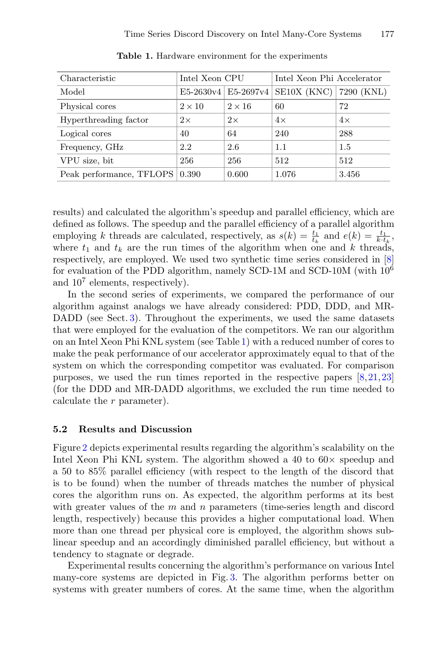<span id="page-9-0"></span>

| Characteristic                 | Intel Xeon CPU |                         | Intel Xeon Phi Accelerator |           |  |
|--------------------------------|----------------|-------------------------|----------------------------|-----------|--|
| Model                          |                | $E5-2630v4$ $E5-2697v4$ | SE10X (KNC)   7290 (KNL)   |           |  |
| Physical cores                 | $2 \times 10$  | $2 \times 16$           | 60                         | 72        |  |
| Hyperthreading factor          | $2\times$      | $2\times$               | $4\times$                  | $4\times$ |  |
| Logical cores                  | 40             | 64                      | 240                        | 288       |  |
| Frequency, GHz                 | 2.2            | 2.6                     | 1.1                        | 1.5       |  |
| VPU size, bit                  | 256            | 256                     | 512                        | 512       |  |
| Peak performance, TFLOPS 0.390 |                | 0.600                   | 1.076                      | 3.456     |  |

**Table 1.** Hardware environment for the experiments

results) and calculated the algorithm's speedup and parallel efficiency, which are defined as follows. The speedup and the parallel efficiency of a parallel algorithm employing k threads are calculated, respectively, as  $s(k) = \frac{t_1}{t_k}$  and  $e(k) = \frac{t_1}{k \cdot t_k}$ , where  $t_1$  and  $t_k$  are the run times of the algorithm when one and k threads, respectively, are employed. We used two synthetic time series considered in [\[8\]](#page-12-9) for evaluation of the PDD algorithm, namely SCD-1M and SCD-10M (with  $10^6$ ) and 10<sup>7</sup> elements, respectively).

In the second series of experiments, we compared the performance of our algorithm against analogs we have already considered: PDD, DDD, and MR-DADD (see Sect. [3\)](#page-4-0). Throughout the experiments, we used the same datasets that were employed for the evaluation of the competitors. We ran our algorithm on an Intel Xeon Phi KNL system (see Table [1\)](#page-9-0) with a reduced number of cores to make the peak performance of our accelerator approximately equal to that of the system on which the corresponding competitor was evaluated. For comparison purposes, we used the run times reported in the respective papers  $[8,21,23]$  $[8,21,23]$  $[8,21,23]$  $[8,21,23]$ (for the DDD and MR-DADD algorithms, we excluded the run time needed to calculate the r parameter).

#### **5.2 Results and Discussion**

Figure [2](#page-10-0) depicts experimental results regarding the algorithm's scalability on the Intel Xeon Phi KNL system. The algorithm showed a 40 to  $60\times$  speedup and a 50 to 85% parallel efficiency (with respect to the length of the discord that is to be found) when the number of threads matches the number of physical cores the algorithm runs on. As expected, the algorithm performs at its best with greater values of the  $m$  and  $n$  parameters (time-series length and discord length, respectively) because this provides a higher computational load. When more than one thread per physical core is employed, the algorithm shows sublinear speedup and an accordingly diminished parallel efficiency, but without a tendency to stagnate or degrade.

Experimental results concerning the algorithm's performance on various Intel many-core systems are depicted in Fig. [3.](#page-10-1) The algorithm performs better on systems with greater numbers of cores. At the same time, when the algorithm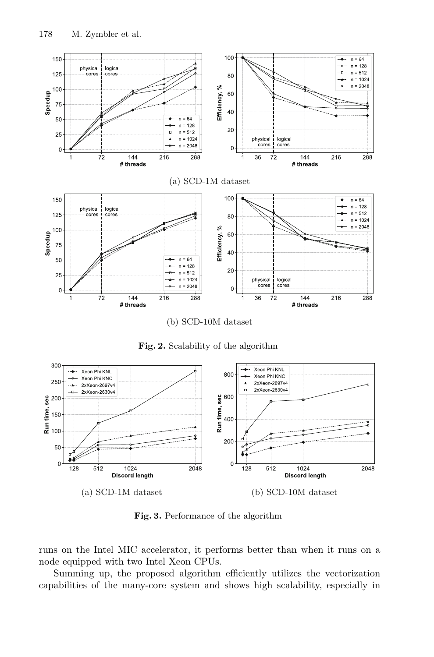![](_page_10_Figure_1.jpeg)

<span id="page-10-0"></span>(b) SCD-10M dataset

![](_page_10_Figure_3.jpeg)

![](_page_10_Figure_4.jpeg)

<span id="page-10-1"></span>**Fig. 3.** Performance of the algorithm

runs on the Intel MIC accelerator, it performs better than when it runs on a node equipped with two Intel Xeon CPUs.

Summing up, the proposed algorithm efficiently utilizes the vectorization capabilities of the many-core system and shows high scalability, especially in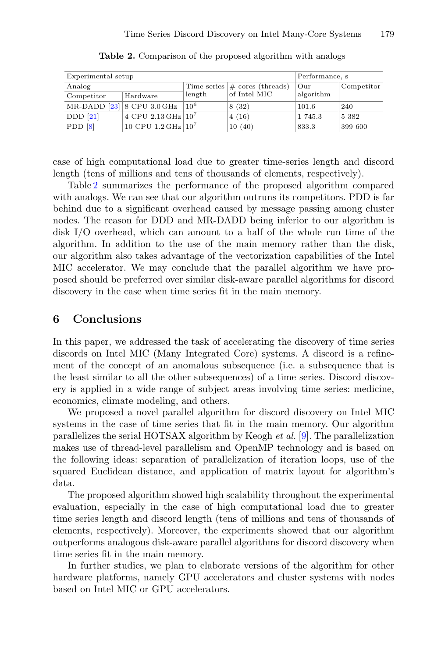<span id="page-11-1"></span>

| Experimental setup           | Performance, s        |          |                                  |           |            |
|------------------------------|-----------------------|----------|----------------------------------|-----------|------------|
| Analog                       |                       |          | Time series $\#$ cores (threads) | Our       | Competitor |
| Competitor                   | Hardware              | length   | of Intel MIC                     | algorithm |            |
| MR-DADD $[23]$ 8 CPU 3.0 GHz |                       | $10^{6}$ | 8(32)                            | 101.6     | 240        |
| DDD[21]                      | 4 CPU 2.13 GHz $10^7$ |          | 4(16)                            | 1 745.3   | 5 3 8 2    |
| $PDD$ $[8]$                  | 10 CPU 1.2 GHz $10^7$ |          | 10(40)                           | 833.3     | 399 600    |

**Table 2.** Comparison of the proposed algorithm with analogs

case of high computational load due to greater time-series length and discord length (tens of millions and tens of thousands of elements, respectively).

Table [2](#page-11-1) summarizes the performance of the proposed algorithm compared with analogs. We can see that our algorithm outruns its competitors. PDD is far behind due to a significant overhead caused by message passing among cluster nodes. The reason for DDD and MR-DADD being inferior to our algorithm is disk I/O overhead, which can amount to a half of the whole run time of the algorithm. In addition to the use of the main memory rather than the disk, our algorithm also takes advantage of the vectorization capabilities of the Intel MIC accelerator. We may conclude that the parallel algorithm we have proposed should be preferred over similar disk-aware parallel algorithms for discord discovery in the case when time series fit in the main memory.

#### <span id="page-11-0"></span>**6 Conclusions**

In this paper, we addressed the task of accelerating the discovery of time series discords on Intel MIC (Many Integrated Core) systems. A discord is a refinement of the concept of an anomalous subsequence (i.e. a subsequence that is the least similar to all the other subsequences) of a time series. Discord discovery is applied in a wide range of subject areas involving time series: medicine, economics, climate modeling, and others.

We proposed a novel parallel algorithm for discord discovery on Intel MIC systems in the case of time series that fit in the main memory. Our algorithm parallelizes the serial HOTSAX algorithm by Keogh *et al.* [\[9](#page-12-0)]. The parallelization makes use of thread-level parallelism and OpenMP technology and is based on the following ideas: separation of parallelization of iteration loops, use of the squared Euclidean distance, and application of matrix layout for algorithm's data.

The proposed algorithm showed high scalability throughout the experimental evaluation, especially in the case of high computational load due to greater time series length and discord length (tens of millions and tens of thousands of elements, respectively). Moreover, the experiments showed that our algorithm outperforms analogous disk-aware parallel algorithms for discord discovery when time series fit in the main memory.

In further studies, we plan to elaborate versions of the algorithm for other hardware platforms, namely GPU accelerators and cluster systems with nodes based on Intel MIC or GPU accelerators.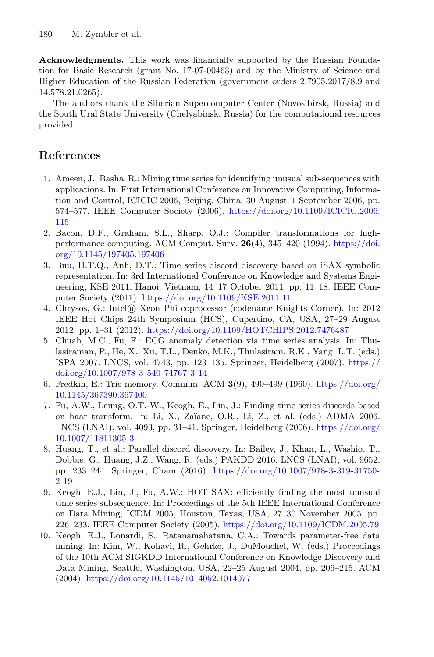**Acknowledgments.** This work was financially supported by the Russian Foundation for Basic Research (grant No. 17-07-00463) and by the Ministry of Science and Higher Education of the Russian Federation (government orders 2.7905.2017/8.9 and 14.578.21.0265).

The authors thank the Siberian Supercomputer Center (Novosibirsk, Russia) and the South Ural State University (Chelyabinsk, Russia) for the computational resources provided.

## **References**

- <span id="page-12-6"></span>1. Ameen, J., Basha, R.: Mining time series for identifying unusual sub-sequences with applications. In: First International Conference on Innovative Computing, Information and Control, ICICIC 2006, Beijing, China, 30 August–1 September 2006, pp. 574–577. IEEE Computer Society (2006). [https://doi.org/10.1109/ICICIC.2006.](https://doi.org/10.1109/ICICIC.2006.115) [115](https://doi.org/10.1109/ICICIC.2006.115)
- <span id="page-12-3"></span>2. Bacon, D.F., Graham, S.L., Sharp, O.J.: Compiler transformations for highperformance computing. ACM Comput. Surv. **26**(4), 345–420 (1994). [https://doi.](https://doi.org/10.1145/197405.197406) [org/10.1145/197405.197406](https://doi.org/10.1145/197405.197406)
- <span id="page-12-7"></span>3. Buu, H.T.Q., Anh, D.T.: Time series discord discovery based on iSAX symbolic representation. In: 3rd International Conference on Knowledge and Systems Engineering, KSE 2011, Hanoi, Vietnam, 14–17 October 2011, pp. 11–18. IEEE Computer Society (2011). <https://doi.org/10.1109/KSE.2011.11>
- <span id="page-12-2"></span>4. Chrysos, G.: Intel<sup>R</sup> Xeon Phi coprocessor (codename Knights Corner). In: 2012 IEEE Hot Chips 24th Symposium (HCS), Cupertino, CA, USA, 27–29 August 2012, pp. 1–31 (2012). <https://doi.org/10.1109/HOTCHIPS.2012.7476487>
- <span id="page-12-5"></span>5. Chuah, M.C., Fu, F.: ECG anomaly detection via time series analysis. In: Thulasiraman, P., He, X., Xu, T.L., Denko, M.K., Thulasiram, R.K., Yang, L.T. (eds.) ISPA 2007. LNCS, vol. 4743, pp. 123–135. Springer, Heidelberg (2007). [https://](https://doi.org/10.1007/978-3-540-74767-3_14) [doi.org/10.1007/978-3-540-74767-3](https://doi.org/10.1007/978-3-540-74767-3_14) 14
- <span id="page-12-4"></span>6. Fredkin, E.: Trie memory. Commun. ACM **3**(9), 490–499 (1960). [https://doi.org/](https://doi.org/10.1145/367390.367400) [10.1145/367390.367400](https://doi.org/10.1145/367390.367400)
- <span id="page-12-8"></span>7. Fu, A.W., Leung, O.T.-W., Keogh, E., Lin, J.: Finding time series discords based on haar transform. In: Li, X., Za¨ıane, O.R., Li, Z., et al. (eds.) ADMA 2006. LNCS (LNAI), vol. 4093, pp. 31–41. Springer, Heidelberg (2006). [https://doi.org/](https://doi.org/10.1007/11811305_3) [10.1007/11811305](https://doi.org/10.1007/11811305_3) 3
- <span id="page-12-9"></span>8. Huang, T., et al.: Parallel discord discovery. In: Bailey, J., Khan, L., Washio, T., Dobbie, G., Huang, J.Z., Wang, R. (eds.) PAKDD 2016. LNCS (LNAI), vol. 9652, pp. 233–244. Springer, Cham (2016). [https://doi.org/10.1007/978-3-319-31750-](https://doi.org/10.1007/978-3-319-31750-2_19) 2 [19](https://doi.org/10.1007/978-3-319-31750-2_19)
- <span id="page-12-0"></span>9. Keogh, E.J., Lin, J., Fu, A.W.: HOT SAX: efficiently finding the most unusual time series subsequence. In: Proceedings of the 5th IEEE International Conference on Data Mining, ICDM 2005, Houston, Texas, USA, 27–30 November 2005, pp. 226–233. IEEE Computer Society (2005). <https://doi.org/10.1109/ICDM.2005.79>
- <span id="page-12-1"></span>10. Keogh, E.J., Lonardi, S., Ratanamahatana, C.A.: Towards parameter-free data mining. In: Kim, W., Kohavi, R., Gehrke, J., DuMouchel, W. (eds.) Proceedings of the 10th ACM SIGKDD International Conference on Knowledge Discovery and Data Mining, Seattle, Washington, USA, 22–25 August 2004, pp. 206–215. ACM (2004). <https://doi.org/10.1145/1014052.1014077>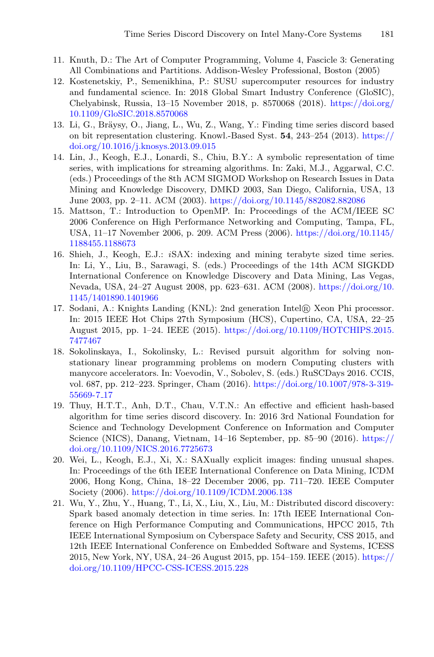- <span id="page-13-9"></span>11. Knuth, D.: The Art of Computer Programming, Volume 4, Fascicle 3: Generating All Combinations and Partitions. Addison-Wesley Professional, Boston (2005)
- <span id="page-13-10"></span>12. Kostenetskiy, P., Semenikhina, P.: SUSU supercomputer resources for industry and fundamental science. In: 2018 Global Smart Industry Conference (GloSIC), Chelyabinsk, Russia, 13–15 November 2018, p. 8570068 (2018). [https://doi.org/](https://doi.org/10.1109/GloSIC.2018.8570068) [10.1109/GloSIC.2018.8570068](https://doi.org/10.1109/GloSIC.2018.8570068)
- <span id="page-13-6"></span>13. Li, G., Bräysy, O., Jiang, L., Wu, Z., Wang, Y.: Finding time series discord based on bit representation clustering. Knowl.-Based Syst. **54**, 243–254 (2013). [https://](https://doi.org/10.1016/j.knosys.2013.09.015) [doi.org/10.1016/j.knosys.2013.09.015](https://doi.org/10.1016/j.knosys.2013.09.015)
- <span id="page-13-0"></span>14. Lin, J., Keogh, E.J., Lonardi, S., Chiu, B.Y.: A symbolic representation of time series, with implications for streaming algorithms. In: Zaki, M.J., Aggarwal, C.C. (eds.) Proceedings of the 8th ACM SIGMOD Workshop on Research Issues in Data Mining and Knowledge Discovery, DMKD 2003, San Diego, California, USA, 13 June 2003, pp. 2–11. ACM (2003). <https://doi.org/10.1145/882082.882086>
- <span id="page-13-8"></span>15. Mattson, T.: Introduction to OpenMP. In: Proceedings of the ACM/IEEE SC 2006 Conference on High Performance Networking and Computing, Tampa, FL, USA, 11–17 November 2006, p. 209. ACM Press (2006). [https://doi.org/10.1145/](https://doi.org/10.1145/1188455.1188673) [1188455.1188673](https://doi.org/10.1145/1188455.1188673)
- <span id="page-13-4"></span>16. Shieh, J., Keogh, E.J.: *i*SAX: indexing and mining terabyte sized time series. In: Li, Y., Liu, B., Sarawagi, S. (eds.) Proceedings of the 14th ACM SIGKDD International Conference on Knowledge Discovery and Data Mining, Las Vegas, Nevada, USA, 24–27 August 2008, pp. 623–631. ACM (2008). [https://doi.org/10.](https://doi.org/10.1145/1401890.1401966) [1145/1401890.1401966](https://doi.org/10.1145/1401890.1401966)
- <span id="page-13-1"></span>17. Sodani, A.: Knights Landing (KNL): 2nd generation Intel<sup>R</sup> Xeon Phi processor. In: 2015 IEEE Hot Chips 27th Symposium (HCS), Cupertino, CA, USA, 22–25 August 2015, pp. 1–24. IEEE (2015). [https://doi.org/10.1109/HOTCHIPS.2015.](https://doi.org/10.1109/HOTCHIPS.2015.7477467) [7477467](https://doi.org/10.1109/HOTCHIPS.2015.7477467)
- <span id="page-13-2"></span>18. Sokolinskaya, I., Sokolinsky, L.: Revised pursuit algorithm for solving nonstationary linear programming problems on modern Computing clusters with manycore accelerators. In: Voevodin, V., Sobolev, S. (eds.) RuSCDays 2016. CCIS, vol. 687, pp. 212–223. Springer, Cham (2016). [https://doi.org/10.1007/978-3-319-](https://doi.org/10.1007/978-3-319-55669-7_17) [55669-7](https://doi.org/10.1007/978-3-319-55669-7_17) 17
- <span id="page-13-5"></span>19. Thuy, H.T.T., Anh, D.T., Chau, V.T.N.: An effective and efficient hash-based algorithm for time series discord discovery. In: 2016 3rd National Foundation for Science and Technology Development Conference on Information and Computer Science (NICS), Danang, Vietnam, 14–16 September, pp. 85–90 (2016). [https://](https://doi.org/10.1109/NICS.2016.7725673) [doi.org/10.1109/NICS.2016.7725673](https://doi.org/10.1109/NICS.2016.7725673)
- <span id="page-13-3"></span>20. Wei, L., Keogh, E.J., Xi, X.: SAXually explicit images: finding unusual shapes. In: Proceedings of the 6th IEEE International Conference on Data Mining, ICDM 2006, Hong Kong, China, 18–22 December 2006, pp. 711–720. IEEE Computer Society (2006). <https://doi.org/10.1109/ICDM.2006.138>
- <span id="page-13-7"></span>21. Wu, Y., Zhu, Y., Huang, T., Li, X., Liu, X., Liu, M.: Distributed discord discovery: Spark based anomaly detection in time series. In: 17th IEEE International Conference on High Performance Computing and Communications, HPCC 2015, 7th IEEE International Symposium on Cyberspace Safety and Security, CSS 2015, and 12th IEEE International Conference on Embedded Software and Systems, ICESS 2015, New York, NY, USA, 24–26 August 2015, pp. 154–159. IEEE (2015). [https://](https://doi.org/10.1109/HPCC-CSS-ICESS.2015.228) [doi.org/10.1109/HPCC-CSS-ICESS.2015.228](https://doi.org/10.1109/HPCC-CSS-ICESS.2015.228)